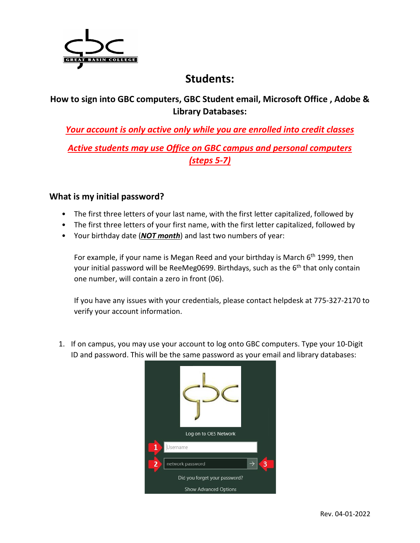

## **Students:**

#### **How to sign into GBC computers, GBC Student email, Microsoft Office , Adobe & Library Databases:**

*Your account is only active only while you are enrolled into credit classes*

*Active students may use Office on GBC campus and personal computers (steps 5-7)*

#### **What is my initial password?**

- The first three letters of your last name, with the first letter capitalized, followed by
- The first three letters of your first name, with the first letter capitalized, followed by
- Your birthday date (*NOT month*) and last two numbers of year:

For example, if your name is Megan Reed and your birthday is March  $6<sup>th</sup>$  1999, then your initial password will be ReeMeg0699. Birthdays, such as the 6<sup>th</sup> that only contain one number, will contain a zero in front (06).

If you have any issues with your credentials, please contact helpdesk at 775-327-2170 to verify your account information.

1. If on campus, you may use your account to log onto GBC computers. Type your 10-Digit ID and password. This will be the same password as your email and library databases:

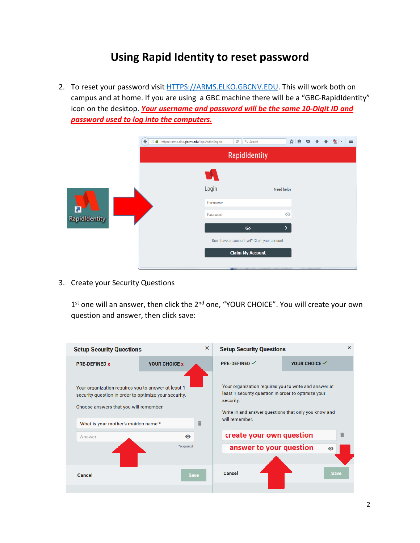## **Using Rapid Identity to reset password**

2. To reset your password visit [HTTPS://ARMS.ELKO.GBCNV.EDU.](https://arms.elko.gbcnv.edu/) This will work both on campus and at home. If you are using a GBC machine there will be a "GBC-RapidIdentity" icon on the desktop. *Your username and password will be the same 10-Digit ID and password used to log into the computers.*

| $\leftarrow$         | Q Search<br>① △ https://arms.elko.gbcnv.edu/idp/AuthnEngine<br>$\mathcal{C}^{\mathsf{I}}$ | ☆ 自<br>$\equiv$<br>$\triangledown$<br>뼆 |
|----------------------|-------------------------------------------------------------------------------------------|-----------------------------------------|
|                      | RapidIdentity                                                                             |                                         |
| <b>RapidIdentity</b> | Login                                                                                     | Need help?                              |
|                      | Username                                                                                  |                                         |
|                      | Password                                                                                  | $\odot$                                 |
|                      | Go                                                                                        | >                                       |
|                      | Don't have an account yet? Claim your account.<br><b>Claim My Account</b>                 |                                         |
|                      |                                                                                           |                                         |

3. Create your Security Questions

1<sup>st</sup> one will an answer, then click the 2<sup>nd</sup> one, "YOUR CHOICE". You will create your own question and answer, then click save:

| <b>Setup Security Questions</b>                                                                                                                                                                         |                             | $\times$ | <b>Setup Security Questions</b>                                                                                                                                                                                                                            |                          |             | $\times$ |
|---------------------------------------------------------------------------------------------------------------------------------------------------------------------------------------------------------|-----------------------------|----------|------------------------------------------------------------------------------------------------------------------------------------------------------------------------------------------------------------------------------------------------------------|--------------------------|-------------|----------|
| <b>PRE-DEFINED x</b>                                                                                                                                                                                    | <b>YOUR CHOICE x</b>        |          | <b>PRE-DEFINED</b> $\checkmark$                                                                                                                                                                                                                            | YOUR CHOICE $\checkmark$ |             |          |
| Your organization requires you to answer at least 1<br>security question in order to optimize your security.<br>Choose answers that you will remember.<br>What is your mother's maiden name *<br>Answer | î<br>$\bullet$<br>*required |          | Your organization requires you to write and answer at<br>least 1 security question in order to optimize your<br>security.<br>Write in and answer questions that only you know and<br>will remember.<br>create your own question<br>answer to your question |                          | $\bullet$   |          |
| Cancel                                                                                                                                                                                                  | <b>Save</b>                 |          | Cancel                                                                                                                                                                                                                                                     |                          | <b>Save</b> |          |
|                                                                                                                                                                                                         |                             |          |                                                                                                                                                                                                                                                            |                          |             |          |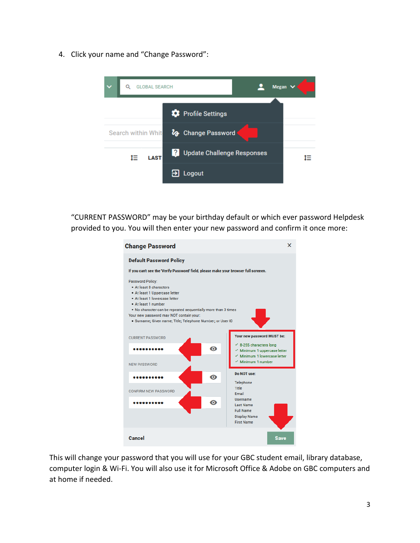4. Click your name and "Change Password":



"CURRENT PASSWORD" may be your birthday default or which ever password Helpdesk provided to you. You will then enter your new password and confirm it once more:

| <b>Change Password</b>                                                                                                                                                                                                                                                                                                | ×                                                                                                                                                   |
|-----------------------------------------------------------------------------------------------------------------------------------------------------------------------------------------------------------------------------------------------------------------------------------------------------------------------|-----------------------------------------------------------------------------------------------------------------------------------------------------|
| <b>Default Password Policy</b>                                                                                                                                                                                                                                                                                        |                                                                                                                                                     |
| If you can't see the 'Verify Password' field, please make your browser full screeen.                                                                                                                                                                                                                                  |                                                                                                                                                     |
| <b>Password Policy:</b><br>• At least 8 characters<br>• At least 1 Uppercase letter<br>. At least 1 lowercase letter<br>• At least 1 number<br>. No character can be repeated sequentially more than 3 times<br>Your new password may NOT contain your:<br>· Surname; Given name; Title; Telephone Number; or User ID |                                                                                                                                                     |
| <b>CURRENT PASSWORD</b>                                                                                                                                                                                                                                                                                               | Your new password MUST be:                                                                                                                          |
| ൈ                                                                                                                                                                                                                                                                                                                     | $\leq$ 8-255 characters long<br>$\checkmark$ Minimum 1 uppercase letter<br>$\checkmark$ Minimum 1 lowercase letter<br>$\checkmark$ Minimum 1 number |
| <b>NEW PASSWORD</b>                                                                                                                                                                                                                                                                                                   | Do NOT use:                                                                                                                                         |
| $\mathbf \Omega$<br>CONFIRM NEW PASSWORD                                                                                                                                                                                                                                                                              | Telephone<br><b>Title</b><br><b>Fmail</b>                                                                                                           |
| ര<br>.                                                                                                                                                                                                                                                                                                                | Username<br><b>Last Name</b><br><b>Full Name</b><br><b>Display Name</b><br><b>First Name</b>                                                        |
| <b>Cancel</b>                                                                                                                                                                                                                                                                                                         | <b>Save</b>                                                                                                                                         |

This will change your password that you will use for your GBC student email, library database, computer login & Wi-Fi. You will also use it for Microsoft Office & Adobe on GBC computers and at home if needed.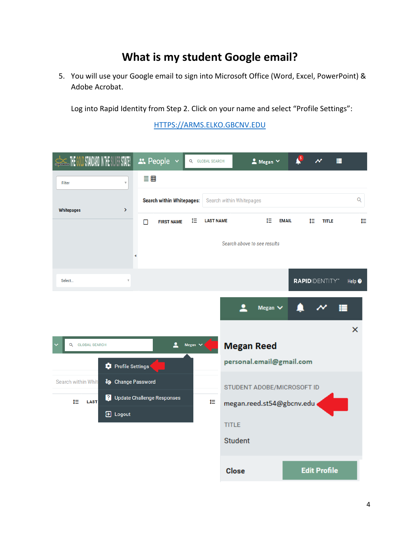# **What is my student Google email?**

5. You will use your Google email to sign into Microsoft Office (Word, Excel, PowerPoint) & Adobe Acrobat.

Log into Rapid Identity from Step 2. Click on your name and select "Profile Settings":

[HTTPS://ARMS.ELKO.GBCNV.EDU](https://arms.elko.gbcnv.edu/)

| THE GOLD STANDARD IN THE SILVER STATE!                     | ** People v<br>Q GLOBAL SEARCH                                  | $\triangle$ Megan $\vee$                                                                  | $\checkmark$<br>н                  |                |
|------------------------------------------------------------|-----------------------------------------------------------------|-------------------------------------------------------------------------------------------|------------------------------------|----------------|
| Filter<br>$\overline{\mathbf{v}}$                          | 言曲                                                              |                                                                                           |                                    |                |
| X<br><b>Whitepages</b>                                     | <b>Search within Whitepages:</b>                                | Search within Whitepages                                                                  |                                    | Q              |
|                                                            | t≣<br><b>LAST NAME</b><br><b>FIRST NAME</b><br>$\Box$           | İΞ                                                                                        | <b>EMAIL</b><br>IΞ<br><b>TITLE</b> | t≣             |
|                                                            |                                                                 | Search above to see results                                                               |                                    |                |
| Select                                                     |                                                                 |                                                                                           | <b>RAPIDIDENTITY</b> "             | Help $\bullet$ |
| <b>Q GLOBAL SEARCH</b>                                     | $\sim$ Megan $\sim$                                             | ≗<br>Megan $\vee$<br><b>Megan Reed</b>                                                    |                                    | $\times$       |
| <b>D</b> Profile Settings                                  |                                                                 | personal.email@gmail.com                                                                  |                                    |                |
| Search within Whit<br>t≣<br><b>LAST</b><br><b>E</b> Logout | <b>&amp;</b> Change Password<br>Update Challenge Responses<br>₽ | STUDENT ADOBE/MICROSOFT ID<br>megan.reed.st54@gbcnv.edu<br><b>TITLE</b><br><b>Student</b> |                                    |                |
|                                                            |                                                                 | <b>Close</b>                                                                              | <b>Edit Profile</b>                |                |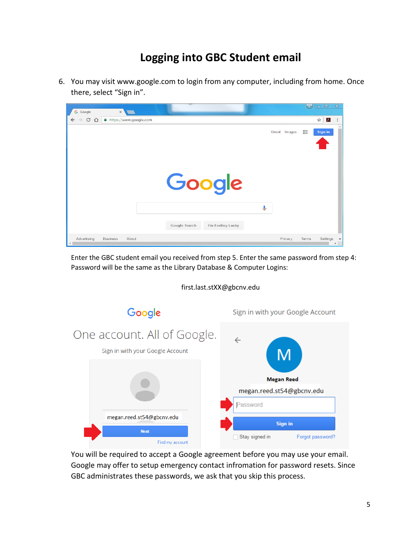# **Logging into GBC Student email**

6. You may visit www.google.com to login from any computer, including from home. Once there, select "Sign in".



Enter the GBC student email you received from step 5. Enter the same password from step 4: Password will be the same as the Library Database & Computer Logins:

first.last.stXX@gbcnv.edu



You will be required to accept a Google agreement before you may use your email. Google may offer to setup emergency contact infromation for password resets. Since GBC administrates these passwords, we ask that you skip this process.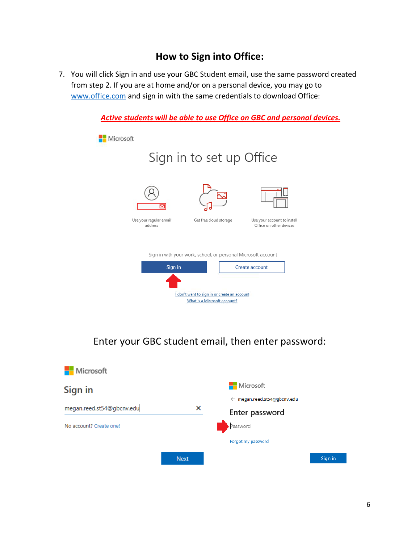### **How to Sign into Office:**

7. You will click Sign in and use your GBC Student email, use the same password created from step 2. If you are at home and/or on a personal device, you may go to [www.office.com](http://www.office.com/) and sign in with the same credentials to download Office:



Enter your GBC student email, then enter password:

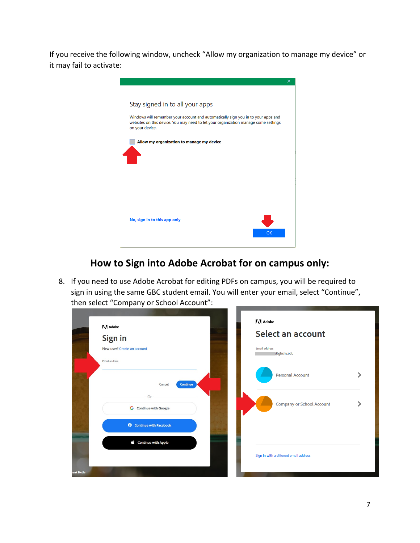If you receive the following window, uncheck "Allow my organization to manage my device" or it may fail to activate:



## **How to Sign into Adobe Acrobat for on campus only:**

8. If you need to use Adobe Acrobat for editing PDFs on campus, you will be required to sign in using the same GBC student email. You will enter your email, select "Continue", then select "Company or School Account":

| <b>A</b> Adobe                  | A Adobe                                |
|---------------------------------|----------------------------------------|
| Sign in                         | Select an account                      |
| New user? Create an account     | <b>Email address</b><br>@gbcnv.edu     |
| Email address                   |                                        |
|                                 | <b>Personal Account</b>                |
| <b>Continue</b><br>Cancel       |                                        |
| Or                              | <b>Company or School Account</b>       |
| <b>G</b> Continue with Google   |                                        |
| <b>O</b> Continue with Facebook |                                        |
| Continue with Apple             |                                        |
|                                 | Sign in with a different email address |